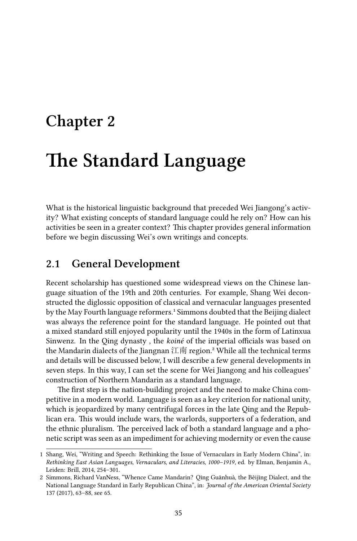# **Chapter 2**

# **The Standard Language**

What is the historical linguistic background that preceded Wei Jiangong's activity? What existing concepts of standard language could he rely on? How can his activities be seen in a greater context? This chapter provides general information before we begin discussing Wei's own writings and concepts.

### **2.1 General Development**

Recent scholarship has questioned some widespread views on the Chinese language situation of the 19th and 20th centuries. For example, Shang Wei deconstructed the diglossic opposition of classical and vernacular languages presented by the May Fourth language reformers.<sup>1</sup> Simmons doubted that the Beijing dialect was always the reference point for the standard language. He pointed out that a mixed standard still enjoyed popularity until the 1940s in the form of Latinxua Sinwenz. In the Qing dynasty , the *koiné* of the imperial officials was based on the Mandarin dialects of the Jiangnan 江南 region.<sup>2</sup> While all the technical terms and details will be discussed below, I will describe a few general developments in seven steps. In this way, I can set the scene for Wei Jiangong and his colleagues' construction of Northern Mandarin as a standard language.

The first step is the nation-building project and the need to make China competitive in a modern world. Language is seen as a key criterion for national unity, which is jeopardized by many centrifugal forces in the late Qing and the Republican era. This would include wars, the warlords, supporters of a federation, and the ethnic pluralism. The perceived lack of both a standard language and a phonetic script was seen as an impediment for achieving modernity or even the cause

<sup>1</sup> Shang, Wei, "Writing and Speech: Rethinking the Issue of Vernaculars in Early Modern China", in: *Rethinking East Asian Languages, Vernaculars, and Literacies, 1000–1919*, ed. by Elman, Benjamin A., Leiden: Brill, 2014, 254–301.

<sup>2</sup> Simmons, Richard VanNess, "Whence Came Mandarin? Qīng Guānhuà, the Běijīng Dialect, and the National Language Standard in Early Republican China", in: *Journal of the American Oriental Society* 137 (2017), 63–88, see 65.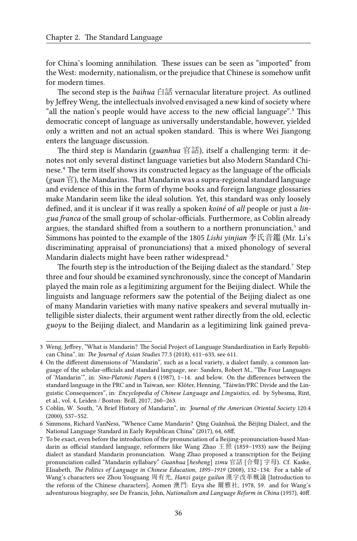for China's looming annihilation. These issues can be seen as "imported" from the West: modernity, nationalism, or the prejudice that Chinese is somehow unfit for modern times.

The second step is the *baihua* 白話 vernacular literature project. As outlined by Jeffrey Weng, the intellectuals involved envisaged a new kind of society where "all the nation's people would have access to the new official language".<sup>3</sup> This democratic concept of language as universally understandable, however, yielded only a written and not an actual spoken standard. This is where Wei Jiangong enters the language discussion.

The third step is Mandarin (*guanhua* 官話), itself a challenging term: it denotes not only several distinct language varieties but also Modern Standard Chinese.<sup>4</sup> The term itself shows its constructed legacy as the language of the officials (*guan* 官), the Mandarins. That Mandarin was a supra-regional standard language and evidence of this in the form of rhyme books and foreign language glossaries make Mandarin seem like the ideal solution. Yet, this standard was only loosely defined, and it is unclear if it was really a spoken *koiné* of *all* people or just a *lingua franca* of the small group of scholar-officials. Furthermore, as Coblin already argues, the standard shifted from a southern to a northern pronunciation,<sup>5</sup> and Simmons has pointed to the example of the 1805 *Lishi yinjian* 李氏音鑑 (Mr. Li's discriminating appraisal of pronunciations) that a mixed phonology of several Mandarin dialects might have been rather widespread.<sup>6</sup>

The fourth step is the introduction of the Beijing dialect as the standard.<sup>7</sup> Step three and four should be examined synchronously, since the concept of Mandarin played the main role as a legitimizing argument for the Beijing dialect. While the linguists and language reformers saw the potential of the Beijing dialect as one of many Mandarin varieties with many native speakers and several mutually intelligible sister dialects, their argument went rather directly from the old, eclectic *guoyu* to the Beijing dialect, and Mandarin as a legitimizing link gained preva-

<sup>3</sup> Weng, Jeffrey, "What is Mandarin? The Social Project of Language Standardization in Early Republican China", in: *The Journal of Asian Studies* 77.3 (2018), 611–633, see 611.

<sup>4</sup> On the different dimensions of "Mandarin", such as a local variety, a dialect family, a common language of the scholar-officials and standard language, see: Sanders, Robert M., "The Four Languages of 'Mandarin'", in: *Sino-Platonic Papers* 4 (1987), 1–14. and below. On the differences between the standard language in the PRC and in Taiwan, see: Klöter, Henning, "Táiwān/PRC Divide and the Linguistic Consequences", in: *Encyclopedia of Chinese Language and Linguistics*, ed. by Sybesma, Rint, et al., vol. 4, Leiden / Boston: Brill, 2017, 260–263.

<sup>5</sup> Coblin, W. South, "A Brief History of Mandarin", in: *Journal of the American Oriental Society* 120.4 (2000), 537–552.

<sup>6</sup> Simmons, Richard VanNess, "Whence Came Mandarin? Qīng Guānhuà, the Běijīng Dialect, and the National Language Standard in Early Republican China" (2017), 64, 68ff.

<sup>7</sup> To be exact, even before the introduction of the pronunciation of a Beijing-pronunciation-based Mandarin as official standard language, reformers like Wang Zhao 王照 (1859–1933) saw the Beijing dialect as standard Mandarin pronunciation. Wang Zhao proposed a transcription for the Beijing pronunciation called "Mandarin syllabary" *Guanhua* [*hesheng*] *zimu* 官話 [合聲] 字母). Cf. Kaske, Elisabeth, *The Politics of Language in Chinese Education, 1895–1919* (2008), 132–134. For a table of Wang's characters see Zhou Youguang 周有光, *Hanzi gaige gailun* 漢字改革概論 [Introduction to the reform of the Chinese characters], Aomen 澳門: Erya she 爾雅社, 1978, 59. and for Wang's adventurous biography, see De Francis, John, *Nationalism and Language Reform in China* (1957), 40ff.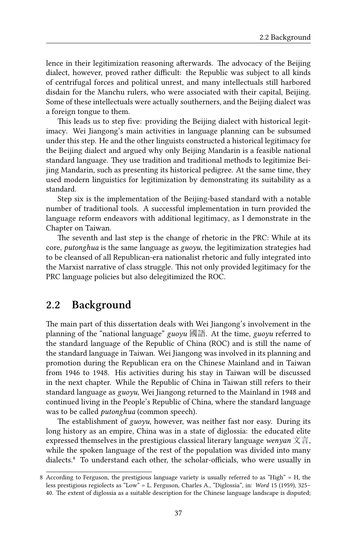lence in their legitimization reasoning afterwards. The advocacy of the Beijing dialect, however, proved rather difficult: the Republic was subject to all kinds of centrifugal forces and political unrest, and many intellectuals still harbored disdain for the Manchu rulers, who were associated with their capital, Beijing. Some of these intellectuals were actually southerners, and the Beijing dialect was a foreign tongue to them.

This leads us to step five: providing the Beijing dialect with historical legitimacy. Wei Jiangong's main activities in language planning can be subsumed under this step. He and the other linguists constructed a historical legitimacy for the Beijing dialect and argued why only Beijing Mandarin is a feasible national standard language. They use tradition and traditional methods to legitimize Beijing Mandarin, such as presenting its historical pedigree. At the same time, they used modern linguistics for legitimization by demonstrating its suitability as a standard.

Step six is the implementation of the Beijing-based standard with a notable number of traditional tools. A successful implementation in turn provided the language reform endeavors with additional legitimacy, as I demonstrate in the Chapter on Taiwan.

The seventh and last step is the change of rhetoric in the PRC: While at its core, *putonghua* is the same language as *guoyu*, the legitimization strategies had to be cleansed of all Republican-era nationalist rhetoric and fully integrated into the Marxist narrative of class struggle. This not only provided legitimacy for the PRC language policies but also delegitimized the ROC.

## **2.2 Background**

The main part of this dissertation deals with Wei Jiangong's involvement in the planning of the "national language" *guoyu* 國語. At the time, *guoyu* referred to the standard language of the Republic of China (ROC) and is still the name of the standard language in Taiwan. Wei Jiangong was involved in its planning and promotion during the Republican era on the Chinese Mainland and in Taiwan from 1946 to 1948. His activities during his stay in Taiwan will be discussed in the next chapter. While the Republic of China in Taiwan still refers to their standard language as *guoyu*, Wei Jiangong returned to the Mainland in 1948 and continued living in the People's Republic of China, where the standard language was to be called *putonghua* (common speech).

The establishment of *guoyu*, however, was neither fast nor easy. During its long history as an empire, China was in a state of diglossia: the educated elite expressed themselves in the prestigious classical literary language *wenyan* 文言, while the spoken language of the rest of the population was divided into many dialects.<sup>8</sup> To understand each other, the scholar-officials, who were usually in

<sup>8</sup> According to Ferguson, the prestigious language variety is usually referred to as "High" = H, the less prestigious regiolects as "Low" = L. Ferguson, Charles A., "Diglossia", in: *Word* 15 (1959), 325– 40. The extent of diglossia as a suitable description for the Chinese language landscape is disputed;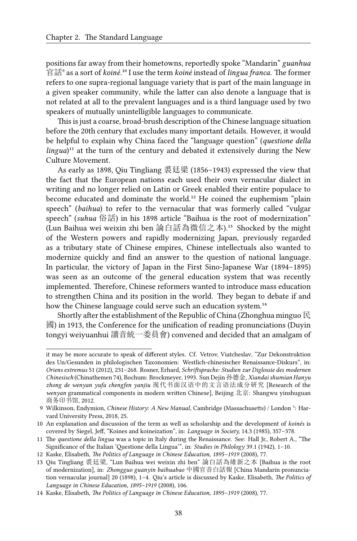positions far away from their hometowns, reportedly spoke "Mandarin" *guanhua* 官話<sup>9</sup> as a sort of *koiné*.<sup>10</sup> I use the term *koiné* instead of *lingua franca*. The former refers to one supra-regional language variety that is part of the main language in a given speaker community, while the latter can also denote a language that is not related at all to the prevalent languages and is a third language used by two speakers of mutually unintelligible languages to communicate.

This is just a coarse, broad-brush description of the Chinese language situation before the 20th century that excludes many important details. However, it would be helpful to explain why China faced the "language question" (*questione della*  $lingua)^{11}$  at the turn of the century and debated it extensively during the New Culture Movement.

As early as 1898, Qiu Tingliang 裘廷梁 (1856–1943) expressed the view that the fact that the European nations each used their own vernacular dialect in writing and no longer relied on Latin or Greek enabled their entire populace to become educated and dominate the world.<sup>12</sup> He coined the euphemism "plain speech" (*baihua*) to refer to the vernacular that was formerly called "vulgar speech" (*suhua* 俗話) in his 1898 article "Baihua is the root of modernization" (Lun Baihua wei weixin zhi ben 論白話為微信之本).<sup>13</sup> Shocked by the might of the Western powers and rapidly modernizing Japan, previously regarded as a tributary state of Chinese empires, Chinese intellectuals also wanted to modernize quickly and find an answer to the question of national language. In particular, the victory of Japan in the First Sino-Japanese War (1894–1895) was seen as an outcome of the general education system that was recently implemented. Therefore, Chinese reformers wanted to introduce mass education to strengthen China and its position in the world. They began to debate if and how the Chinese language could serve such an education system.<sup>14</sup>

Shortly after the establishment of the Republic of China (Zhonghua minguo  $\mathbb R$ ) 國) in 1913, the Conference for the unification of reading pronunciations (Duyin tongyi weiyuanhui 讀音統一委員會) convened and decided that an amalgam of

it may be more accurate to speak of different styles. Cf. Vetrov, Viatcheslav, "Zur Dekonstruktion des Un/Gesunden in philologischen Taxonomien: Westlich-chinesischer Renaissance-Diskurs", in: *Oriens extremus* 51 (2012), 231–268. Rosner, Erhard, *Schriftsprache: Studien zur Diglossie des modernen Chinesisch* (Chinathemen 74), Bochum: Brockmeyer, 1993. Sun Dejin 孙德金, *Xiandai shumian Hanyu zhong de wenyan yufa chengfen yanjiu* 现代书面汉语中的文言语法成分研究 [Research of the *wenyan* grammatical components in modern written Chinese], Beijing 北京: Shangwu yinshuguan 商务印书馆, 2012.

<sup>9</sup> Wilkinson, Endymion, *Chinese History: A New Manual*, Cambridge (Massachusetts) / London <sup>5</sup>: Harvard University Press, 2018, 25.

<sup>10</sup> An explanation and discussion of the term as well as scholarship and the development of *koinés* is covered by Siegel, Jeff, "Koines and koineization", in: *Language in Society,* 14.3 (1985), 357–378.

<sup>11</sup> The *questione della lingua* was a topic in Italy during the Renaissance. See: Hall Jr., Robert A., "The Significance of the Italian 'Questione della Lingua'", in: *Studies in Philology* 39.1 (1942), 1–10.

<sup>12</sup> Kaske, Elisabeth, *The Politics of Language in Chinese Education, 1895–1919* (2008), 77.

<sup>13</sup> Qiu Tingliang 裘廷梁, "Lun Baihua wei weixin zhi ben" 論白話為維新之本 [Baihua is the root of modernization], in: *Zhongguo guanyin baihuabao* 中國官音白話報 [China Mandarin pronunciation vernacular journal] 20 (1898), 1–4. Qiu's article is discussed by Kaske, Elisabeth, *The Politics of Language in Chinese Education, 1895–1919* (2008), 106.

<sup>14</sup> Kaske, Elisabeth, *The Politics of Language in Chinese Education, 1895–1919* (2008), 77.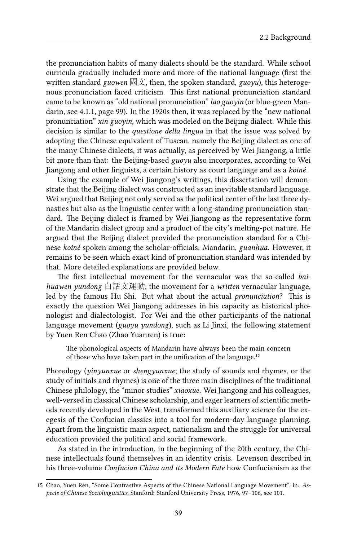the pronunciation habits of many dialects should be the standard. While school curricula gradually included more and more of the national language (first the written standard *guowen* 國文, then, the spoken standard, *guoyu*), this heterogenous pronunciation faced criticism. This first national pronunciation standard came to be known as "old national pronunciation" *lao guoyin* (or blue-green Mandarin, see 4.1.1, page 99). In the 1920s then, it was replaced by the "new national pronunciation" *xin guoyin*, which was modeled on the Beijing dialect. While this decision is similar to the *questione della lingua* in that the issue was solved by adopting the Chinese equivalent of Tuscan, namely the Beijing dialect as one of the many Chinese dialects, it was actually, as perceived by Wei Jiangong, a little bit more than that: the Beijing-based *guoyu* also incorporates, according to Wei Jiangong and other linguists, a certain history as court language and as a *koiné*.

Using the example of Wei Jiangong's writings, this dissertation will demonstrate that the Beijing dialect was constructed as an inevitable standard language. Wei argued that Beijing not only served as the political center of the last three dynasties but also as the linguistic center with a long-standing pronunciation standard. The Beijing dialect is framed by Wei Jiangong as the representative form of the Mandarin dialect group and a product of the city's melting-pot nature. He argued that the Beijing dialect provided the pronunciation standard for a Chinese *koiné* spoken among the scholar-officials: Mandarin, *guanhua*. However, it remains to be seen which exact kind of pronunciation standard was intended by that. More detailed explanations are provided below.

The first intellectual movement for the vernacular was the so-called *baihuawen yundong* 白話文運動, the movement for a *written* vernacular language, led by the famous Hu Shi. But what about the actual *pronunciation*? This is exactly the question Wei Jiangong addresses in his capacity as historical phonologist and dialectologist. For Wei and the other participants of the national language movement (*guoyu yundong*), such as Li Jinxi, the following statement by Yuen Ren Chao (Zhao Yuanren) is true:

The phonological aspects of Mandarin have always been the main concern of those who have taken part in the unification of the language.<sup>15</sup>

Phonology (*yinyunxue* or *shengyunxue*; the study of sounds and rhymes, or the study of initials and rhymes) is one of the three main disciplines of the traditional Chinese philology, the "minor studies" *xiaoxue*. Wei Jiangong and his colleagues, well-versed in classical Chinese scholarship, and eager learners of scientific methods recently developed in the West, transformed this auxiliary science for the exegesis of the Confucian classics into a tool for modern-day language planning. Apart from the linguistic main aspect, nationalism and the struggle for universal education provided the political and social framework.

As stated in the introduction, in the beginning of the 20th century, the Chinese intellectuals found themselves in an identity crisis. Levenson described in his three-volume *Confucian China and its Modern Fate* how Confucianism as the

<sup>15</sup> Chao, Yuen Ren, "Some Contrastive Aspects of the Chinese National Language Movement", in: *Aspects of Chinese Sociolinguistics*, Stanford: Stanford University Press, 1976, 97–106, see 101.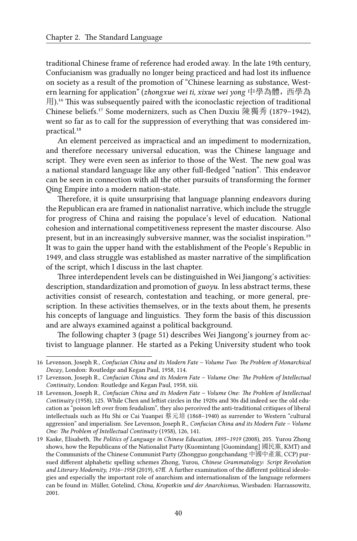traditional Chinese frame of reference had eroded away. In the late 19th century, Confucianism was gradually no longer being practiced and had lost its influence on society as a result of the promotion of "Chinese learning as substance, Western learning for application" (*zhongxue wei ti, xixue wei yong* 中學為體,西學為  $H$ ).<sup>16</sup> This was subsequently paired with the iconoclastic rejection of traditional Chinese beliefs.<sup>17</sup> Some modernizers, such as Chen Duxiu 陳獨秀 (1879–1942), went so far as to call for the suppression of everything that was considered impractical.<sup>18</sup>

An element perceived as impractical and an impediment to modernization, and therefore necessary universal education, was the Chinese language and script. They were even seen as inferior to those of the West. The new goal was a national standard language like any other full-fledged "nation". This endeavor can be seen in connection with all the other pursuits of transforming the former Qing Empire into a modern nation-state.

Therefore, it is quite unsurprising that language planning endeavors during the Republican era are framed in nationalist narrative, which include the struggle for progress of China and raising the populace's level of education. National cohesion and international competitiveness represent the master discourse. Also present, but in an increasingly subversive manner, was the socialist inspiration.<sup>19</sup> It was to gain the upper hand with the establishment of the People's Republic in 1949, and class struggle was established as master narrative of the simplification of the script, which I discuss in the last chapter.

Three interdependent levels can be distinguished in Wei Jiangong's activities: description, standardization and promotion of *guoyu*. In less abstract terms, these activities consist of research, contestation and teaching, or more general, prescription. In these activities themselves, or in the texts about them, he presents his concepts of language and linguistics. They form the basis of this discussion and are always examined against a political background.

The following chapter 3 (page 51) describes Wei Jiangong's journey from activist to language planner. He started as a Peking University student who took

<sup>16</sup> Levenson, Joseph R., *Confucian China and its Modern Fate – Volume Two: The Problem of Monarchical Decay*, London: Routledge and Kegan Paul, 1958, 114.

<sup>17</sup> Levenson, Joseph R., *Confucian China and its Modern Fate – Volume One: The Problem of Intellectual Continuity*, London: Routledge and Kegan Paul, 1958, xiii.

<sup>18</sup> Levenson, Joseph R., *Confucian China and its Modern Fate – Volume One: The Problem of Intellectual Continuity* (1958), 125. While Chen and leftist circles in the 1920s and 30s did indeed see the old education as "poison left over from feudalism", they also perceived the anti-traditional critiques of liberal intellectuals such as Hu Shi or Cai Yuanpei 蔡元培 (1868–1940) as surrender to Western "cultural aggression" and imperialism. See Levenson, Joseph R., *Confucian China and its Modern Fate – Volume One: The Problem of Intellectual Continuity* (1958), 126, 141.

<sup>19</sup> Kaske, Elisabeth, *The Politics of Language in Chinese Education, 1895–1919* (2008), 205. Yurou Zhong shows, how the Republicans of the Nationalist Party (Kuomintang [Guomindang] 國民黨, KMT) and the Communists of the Chinese Communist Party (Zhongguo gongchandang 中國中產黨, CCP) pursued different alphabetic spelling schemes Zhong, Yurou, *Chinese Grammatology: Script Revolution and Literary Modernity, 1916–1958* (2019), 67ff. A further examination of the different political ideologies and especially the important role of anarchism and internationalism of the language reformers can be found in: Müller, Gotelind, *China, Kropotkin und der Anarchismus*, Wiesbaden: Harrassowitz, 2001.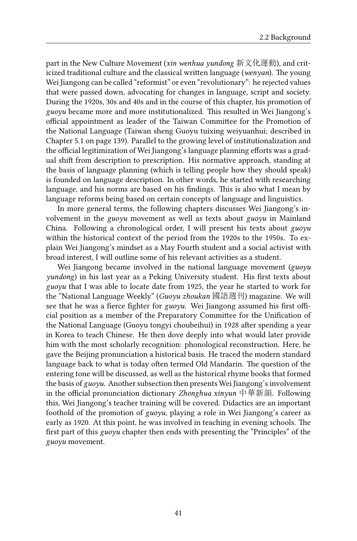part in the New Culture Movement (*xin wenhua yundong* 新文化運動), and criticized traditional culture and the classical written language (*wenyan*). The young Wei Jiangong can be called "reformist" or even "revolutionary": he rejected values that were passed down, advocating for changes in language, script and society. During the 1920s, 30s and 40s and in the course of this chapter, his promotion of *guoyu* became more and more institutionalized. This resulted in Wei Jiangong's official appointment as leader of the Taiwan Committee for the Promotion of the National Language (Taiwan sheng Guoyu tuixing weiyuanhui; described in Chapter 5.1 on page 139). Parallel to the growing level of institutionalization and the official legitimization of Wei Jiangong's language planning efforts was a gradual shift from description to prescription. His normative approach, standing at the basis of language planning (which is telling people how they should speak) is founded on language description. In other words, he started with researching language, and his norms are based on his findings. This is also what I mean by language reforms being based on certain concepts of language and linguistics.

In more general terms, the following chapters discusses Wei Jiangong's involvement in the *guoyu* movement as well as texts about *guoyu* in Mainland China. Following a chronological order, I will present his texts about *guoyu* within the historical context of the period from the 1920s to the 1950s. To explain Wei Jiangong's mindset as a May Fourth student and a social activist with broad interest, I will outline some of his relevant activities as a student.

Wei Jiangong became involved in the national language movement (*guoyu yundong*) in his last year as a Peking University student. His first texts about *guoyu* that I was able to locate date from 1925, the year he started to work for the "National Language Weekly" (*Guoyu zhoukan* 國語週刊) magazine. We will see that he was a fierce fighter for *guoyu*. Wei Jiangong assumed his first official position as a member of the Preparatory Committee for the Unification of the National Language (Guoyu tongyi choubeihui) in 1928 after spending a year in Korea to teach Chinese. He then dove deeply into what would later provide him with the most scholarly recognition: phonological reconstruction. Here, he gave the Beijing pronunciation a historical basis. He traced the modern standard language back to what is today often termed Old Mandarin. The question of the entering tone will be discussed, as well as the historical rhyme books that formed the basis of *guoyu*. Another subsection then presents Wei Jiangong's involvement in the official pronunciation dictionary *Zhonghua xinyun* 中華新韻. Following this, Wei Jiangong's teacher training will be covered. Didactics are an important foothold of the promotion of *guoyu*, playing a role in Wei Jiangong's career as early as 1920. At this point, he was involved in teaching in evening schools. The first part of this *guoyu* chapter then ends with presenting the "Principles" of the *guoyu* movement.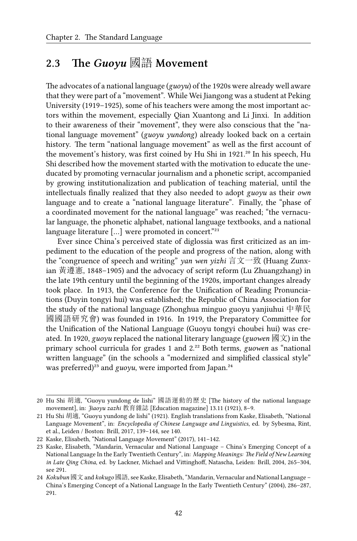# **2.3 The** *Guoyu* 國語 **Movement**

The advocates of a national language (*guoyu*) of the 1920s were already well aware that they were part of a "movement". While Wei Jiangong was a student at Peking University (1919–1925), some of his teachers were among the most important actors within the movement, especially Qian Xuantong and Li Jinxi. In addition to their awareness of their "movement", they were also conscious that the "national language movement" (*guoyu yundong*) already looked back on a certain history. The term "national language movement" as well as the first account of the movement's history, was first coined by Hu Shi in 1921.<sup>20</sup> In his speech, Hu Shi described how the movement started with the motivation to educate the uneducated by promoting vernacular journalism and a phonetic script, accompanied by growing institutionalization and publication of teaching material, until the intellectuals finally realized that they also needed to adopt *guoyu* as their *own* language and to create a "national language literature". Finally, the "phase of a coordinated movement for the national language" was reached; "the vernacular language, the phonetic alphabet, national language textbooks, and a national language literature  $[...]$  were promoted in concert."<sup>21</sup>

Ever since China's perceived state of diglossia was first criticized as an impediment to the education of the people and progress of the nation, along with the "congruence of speech and writing" *yan wen yizhi* 言文一致 (Huang Zunxian 黃遵憲, 1848–1905) and the advocacy of script reform (Lu Zhuangzhang) in the late 19th century until the beginning of the 1920s, important changes already took place. In 1913, the Conference for the Unification of Reading Pronunciations (Duyin tongyi hui) was established; the Republic of China Association for the study of the national language (Zhonghua minguo guoyu yanjiuhui 中華民 國國語研究會) was founded in 1916. In 1919, the Preparatory Committee for the Unification of the National Language (Guoyu tongyi choubei hui) was created. In 1920, *guoyu* replaced the national literary language (*guowen* 國文) in the primary school curricula for grades 1 and 2.²² Both terms, *guowen* as "national written language" (in the schools a "modernized and simplified classical style" was preferred)<sup>23</sup> and *guoyu*, were imported from Japan.<sup>24</sup>

<sup>20</sup> Hu Shi 胡適, "Guoyu yundong de lishi" 國語運動的歷史 [The history of the national language movement], in: *Jiaoyu zazhi* 教育雜誌 [Education magazine] 13.11 (1921), 8–9.

<sup>21</sup> Hu Shi 胡適, "Guoyu yundong de lishi" (1921). English translations from Kaske, Elisabeth, "National Language Movement", in: *Encyclopedia of Chinese Language and Linguistics*, ed. by Sybesma, Rint, et al., Leiden / Boston: Brill, 2017, 139–144, see 140.

<sup>22</sup> Kaske, Elisabeth, "National Language Movement" (2017), 141–142.

<sup>23</sup> Kaske, Elisabeth, "Mandarin, Vernacular and National Language – China's Emerging Concept of a National Language In the Early Twentieth Century", in: *Mapping Meanings: The Field of New Learning in Late Qing China*, ed. by Lackner, Michael and Vittinghoff, Natascha, Leiden: Brill, 2004, 265–304, see 291.

<sup>24</sup> *Kokubun* 國文 and *kokugo* 國語, see Kaske, Elisabeth, "Mandarin, Vernacular and National Language – China's Emerging Concept of a National Language In the Early Twentieth Century" (2004), 286–287, 291.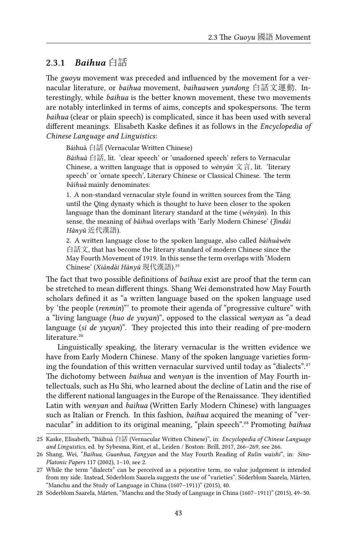#### **2.3.1** *Baihua* 白話

The *guoyu* movement was preceded and influenced by the movement for a vernacular literature, or *baihua* movement, *baihuawen yundong* 白話文運動. Interestingly, while *baihua* is the better known movement, these two movements are notably interlinked in terms of aims, concepts and spokespersons. The term *baihua* (clear or plain speech) is complicated, since it has been used with several different meanings. Elisabeth Kaske defines it as follows in the *Encyclopedia of Chinese Language and Linguistics*:

Báihuà 白話 (Vernacular Written Chinese)

*Báihuà* 白話, lit. 'clear speech' or 'unadorned speech' refers to Vernacular Chinese, a written language that is opposed to *wényán* 文言, lit. 'literary speech' or 'ornate speech', Literary Chinese or Classical Chinese. The term *báihuà* mainly denominates:

1. A non-standard vernacular style found in written sources from the Táng until the Qīng dynasty which is thought to have been closer to the spoken language than the dominant literary standard at the time (*wényán*). In this sense, the meaning of *báihuà* overlaps with 'Early Modern Chinese' (*Jìndài Hànyǔ* 近代漢語).

2. A written language close to the spoken language, also called *báihuàwén* 白話文, that has become the literary standard of modern Chinese since the May Fourth Movement of 1919. In this sense the term overlaps with 'Modern Chinese' (*Xiàndài Hànyǔ* 現代漢語).<sup>25</sup>

The fact that two possible definitions of *baihua* exist are proof that the term can be stretched to mean different things. Shang Wei demonstrated how May Fourth scholars defined it as "a written language based on the spoken language used by 'the people (*renmin*)"' to promote their agenda of "progressive culture" with a "living language (*huo de yuyan*)", opposed to the classical *wenyan* as "a dead language (*si de yuyan*)". They projected this into their reading of pre-modern literature.<sup>26</sup>

Linguistically speaking, the literary vernacular is the written evidence we have from Early Modern Chinese. Many of the spoken language varieties forming the foundation of this written vernacular survived until today as "dialects".<sup>27</sup> The dichotomy between *baihua* and *wenyan* is the invention of May Fourth intellectuals, such as Hu Shi, who learned about the decline of Latin and the rise of the different national languages in the Europe of the Renaissance. They identified Latin with *wenyan* and *baihua* (Written Early Modern Chinese) with languages such as Italian or French. In this fashion, *baihua* acquired the meaning of "vernacular" in addition to its original meaning, "plain speech".<sup>28</sup> Promoting *baihua* 

<sup>25</sup> Kaske, Elisabeth, "Báihuà 白話 (Vernacular Written Chinese)", in: *Encyclopedia of Chinese Language and Linguistics*, ed. by Sybesma, Rint, et al., Leiden / Boston: Brill, 2017, 266–269, see 266.

<sup>26</sup> Shang, Wei, "*Baihua*, *Guanhua*, *Fangyan* and the May Fourth Reading of *Rulin waishi*", in: *Sino-Platonic Papers* 117 (2002), 1–10, see 2.

<sup>27</sup> While the term "dialects" can be perceived as a pejorative term, no value judgement is intended from my side. Instead, Söderblom Saarela suggests the use of "varieties". Söderblom Saarela, Mårten, "Manchu and the Study of Language in China (1607–1911)" (2015), 40.

<sup>28</sup> Söderblom Saarela, Mårten, "Manchu and the Study of Language in China (1607–1911)" (2015), 49–50.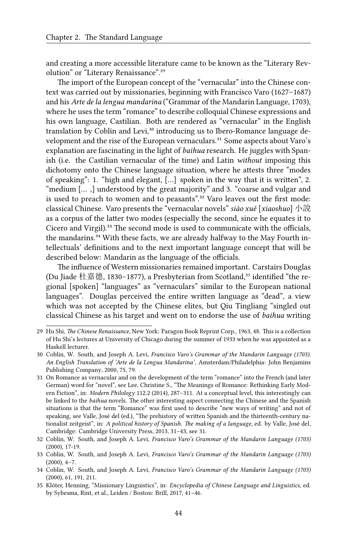and creating a more accessible literature came to be known as the "Literary Revolution" or "Literary Renaissance".<sup>29</sup>

The import of the European concept of the "vernacular" into the Chinese context was carried out by missionaries, beginning with Francisco Varo (1627–1687) and his *Arte de la lengua mandarina* ("Grammar of the Mandarin Language, 1703), where he uses the term "romance" to describe colloquial Chinese expressions and his own language, Castilian. Both are rendered as "vernacular" in the English translation by Coblin and Levi,<sup>30</sup> introducing us to Ibero-Romance language development and the rise of the European vernaculars.<sup>31</sup> Some aspects about Varo's explanation are fascinating in the light of *baihua* research. He juggles with Spanish (i.e. the Castilian vernacular of the time) and Latin *without* imposing this dichotomy onto the Chinese language situation, where he attests three "modes of speaking": 1. "high and elegant, […] spoken in the way that it is written", 2. "medium [… ,] understood by the great majority" and 3. "coarse and vulgar and is used to preach to women and to peasants".<sup>32</sup> Varo leaves out the first mode: classical Chinese. Varo presents the "vernacular novels" *siào xuě* [*xiaoshuo*] 小說 as a corpus of the latter two modes (especially the second, since he equates it to Cicero and Virgil).<sup>33</sup> The second mode is used to communicate with the officials, the mandarins.<sup>34</sup> With these facts, we are already halfway to the May Fourth intellectuals' definitions and to the next important language concept that will be described below: Mandarin as the language of the officials.

The influence of Western missionaries remained important. Carstairs Douglas (Du Jiade 杜嘉德, 1830-1877), a Presbyterian from Scotland,<sup>35</sup> identified "the regional [spoken] "languages" as "vernaculars" similar to the European national languages". Douglas perceived the entire written language as "dead", a view which was not accepted by the Chinese elites, but Qiu Tingliang "singled out classical Chinese as his target and went on to endorse the use of *baihua* writing

<sup>29</sup> Hu Shi, *The Chinese Renaissance*, New York: Paragon Book Reprint Corp., 1963, 48. This is a collection of Hu Shi's lectures at University of Chicago during the summer of 1933 when he was appointed as a Haskell lecturer.

<sup>30</sup> Coblin, W. South, and Joseph A. Levi, *Francisco Varo's Grammar of the Mandarin Language (1703). An English Translation of 'Arte de la Lengua Mandarina'*, Amsterdam/Philadelphia: John Benjamins Publishing Company, 2000, 75, 79.

<sup>31</sup> On Romance as vernacular and on the development of the term "romance" into the French (and later German) word for "novel", see Lee, Christine S., "The Meanings of Romance: Rethinking Early Modern Fiction", in: *Modern Philology* 112.2 (2014), 287–311. At a conceptual level, this interestingly can be linked to the *baihua* novels. The other interesting aspect connecting the Chinese and the Spanish situations is that the term "Romance" was first used to describe "new ways of writing" and not of speaking, see Valle, José del (ed.), "The prehistory of written Spanish and the thirteenth-century nationalist zeitgeist", in: *A political history of Spanish. The making of a language*, ed. by Valle, José del, Cambridge: Cambridge University Press, 2013, 31–43, see 31.

<sup>32</sup> Coblin, W. South, and Joseph A. Levi, *Francisco Varo's Grammar of the Mandarin Language (1703)* (2000), 17-19.

<sup>33</sup> Coblin, W. South, and Joseph A. Levi, *Francisco Varo's Grammar of the Mandarin Language (1703)* (2000), 4–7.

<sup>34</sup> Coblin, W. South, and Joseph A. Levi, *Francisco Varo's Grammar of the Mandarin Language (1703)* (2000), 61, 191, 211.

<sup>35</sup> Klöter, Henning, "Missionary Linguistics", in: *Encyclopedia of Chinese Language and Linguistics*, ed. by Sybesma, Rint, et al., Leiden / Boston: Brill, 2017, 41–46.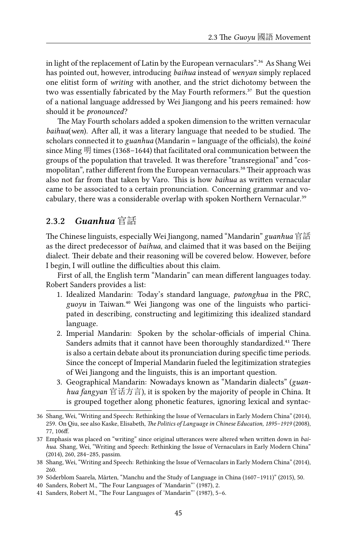in light of the replacement of Latin by the European vernaculars".<sup>36</sup> As Shang Wei has pointed out, however, introducing *baihua* instead of *wenyan* simply replaced one elitist form of *writing* with another, and the strict dichotomy between the two was essentially fabricated by the May Fourth reformers.<sup>37</sup> But the question of a national language addressed by Wei Jiangong and his peers remained: how should it be *pronounced*?

The May Fourth scholars added a spoken dimension to the written vernacular *baihua*(*wen*). After all, it was a literary language that needed to be studied. The scholars connected it to *guanhua* (Mandarin = language of the officials), the *koiné* since Ming 明 times (1368–1644) that facilitated oral communication between the groups of the population that traveled. It was therefore "transregional" and "cosmopolitan", rather different from the European vernaculars.<sup>38</sup> Their approach was also not far from that taken by Varo. This is how *baihua* as written vernacular came to be associated to a certain pronunciation. Concerning grammar and vocabulary, there was a considerable overlap with spoken Northern Vernacular.<sup>39</sup>

#### **2.3.2** *Guanhua* 官話

The Chinese linguists, especially Wei Jiangong, named "Mandarin" *guanhua* 官話 as the direct predecessor of *baihua*, and claimed that it was based on the Beijing dialect. Their debate and their reasoning will be covered below. However, before I begin, I will outline the difficulties about this claim.

First of all, the English term "Mandarin" can mean different languages today. Robert Sanders provides a list:

- 1. Idealized Mandarin: Today's standard language, *putonghua* in the PRC, *guoyu* in Taiwan.<sup>40</sup> Wei Jiangong was one of the linguists who participated in describing, constructing and legitimizing this idealized standard language.
- 2. Imperial Mandarin: Spoken by the scholar-officials of imperial China. Sanders admits that it cannot have been thoroughly standardized.<sup>41</sup> There is also a certain debate about its pronunciation during specific time periods. Since the concept of Imperial Mandarin fueled the legitimization strategies of Wei Jiangong and the linguists, this is an important question.
- 3. Geographical Mandarin: Nowadays known as "Mandarin dialects" (*guanhua fangyan* 官话方言), it is spoken by the majority of people in China. It is grouped together along phonetic features, ignoring lexical and syntac-

<sup>36</sup> Shang, Wei, "Writing and Speech: Rethinking the Issue of Vernaculars in Early Modern China" (2014), 259. On Qiu, see also Kaske, Elisabeth, *The Politics of Language in Chinese Education, 1895–1919* (2008), 77, 106ff.

<sup>37</sup> Emphasis was placed on "writing" since original utterances were altered when written down in *baihua*. Shang, Wei, "Writing and Speech: Rethinking the Issue of Vernaculars in Early Modern China" (2014), 260, 284–285, passim.

<sup>38</sup> Shang, Wei, "Writing and Speech: Rethinking the Issue of Vernaculars in Early Modern China" (2014), 260.

<sup>39</sup> Söderblom Saarela, Mårten, "Manchu and the Study of Language in China (1607–1911)" (2015), 50.

<sup>40</sup> Sanders, Robert M., "The Four Languages of 'Mandarin"' (1987), 2.

<sup>41</sup> Sanders, Robert M., "The Four Languages of 'Mandarin"' (1987), 5–6.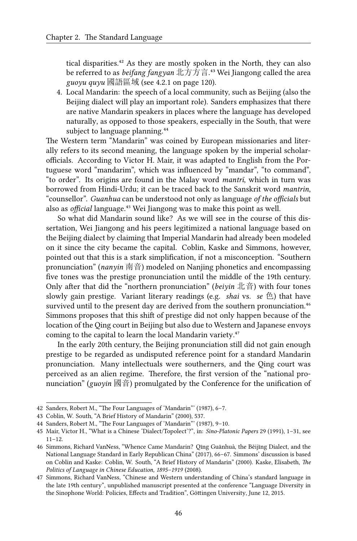tical disparities.<sup>42</sup> As they are mostly spoken in the North, they can also be referred to as *beifang fangyan* 北方方言.⁴³ Wei Jiangong called the area  $g\mu$ <sub>*guoyu quyu* 國語區域 (see 4.2.1 on page 120).</sub>

4. Local Mandarin: the speech of a local community, such as Beijing (also the Beijing dialect will play an important role). Sanders emphasizes that there are native Mandarin speakers in places where the language has developed naturally, as opposed to those speakers, especially in the South, that were subject to language planning.<sup>44</sup>

The Western term "Mandarin" was coined by European missionaries and literally refers to its second meaning, the language spoken by the imperial scholarofficials. According to Victor H. Mair, it was adapted to English from the Portuguese word "mandarim", which was influenced by "mandar", "to command", "to order". Its origins are found in the Malay word *mantrī*, which in turn was borrowed from Hindi-Urdu; it can be traced back to the Sanskrit word *mantrin*, "counsellor". *Guanhua* can be understood not only as language *of the officials* but also as *official* language.<sup>45</sup> Wei Jiangong was to make this point as well.

So what did Mandarin sound like? As we will see in the course of this dissertation, Wei Jiangong and his peers legitimized a national language based on the Beijing dialect by claiming that Imperial Mandarin had already been modeled on it since the city became the capital. Coblin, Kaske and Simmons, however, pointed out that this is a stark simplification, if not a misconception. "Southern pronunciation" (*nanyin* 南音) modeled on Nanjing phonetics and encompassing five tones was the prestige pronunciation until the middle of the 19th century. Only after that did the "northern pronunciation" (*beiyin* 北音) with four tones slowly gain prestige. Variant literary readings (e.g. *shai* vs. *se* 色) that have survived until to the present day are derived from the southern pronunciation.<sup>46</sup> Simmons proposes that this shift of prestige did not only happen because of the location of the Qing court in Beijing but also due to Western and Japanese envoys coming to the capital to learn the local Mandarin variety.<sup>47</sup>

In the early 20th century, the Beijing pronunciation still did not gain enough prestige to be regarded as undisputed reference point for a standard Mandarin pronunciation. Many intellectuals were southerners, and the Qing court was perceived as an alien regime. Therefore, the first version of the "national pronunciation" (*guoyin* 國音) promulgated by the Conference for the unification of

<sup>42</sup> Sanders, Robert M., "The Four Languages of 'Mandarin"' (1987), 6–7.

<sup>43</sup> Coblin, W. South, "A Brief History of Mandarin" (2000), 537.

<sup>44</sup> Sanders, Robert M., "The Four Languages of 'Mandarin"' (1987), 9–10.

<sup>45</sup> Mair, Victor H., "What is a Chinese 'Dialect/Topolect'?", in: *Sino-Platonic Papers* 29 (1991), 1–31, see 11–12.

<sup>46</sup> Simmons, Richard VanNess, "Whence Came Mandarin? Qīng Guānhuà, the Běijīng Dialect, and the National Language Standard in Early Republican China" (2017), 66–67. Simmons' discussion is based on Coblin and Kaske: Coblin, W. South, "A Brief History of Mandarin" (2000). Kaske, Elisabeth, *The Politics of Language in Chinese Education, 1895–1919* (2008).

<sup>47</sup> Simmons, Richard VanNess, "Chinese and Western understanding of China's standard language in the late 19th century", unpublished manuscript presented at the conference "Language Diversity in the Sinophone World: Policies, Effects and Tradition", Göttingen University, June 12, 2015.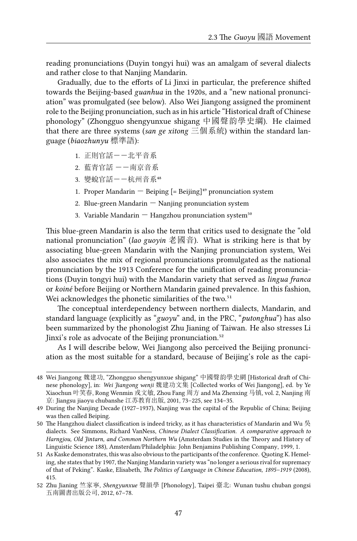reading pronunciations (Duyin tongyi hui) was an amalgam of several dialects and rather close to that Nanjing Mandarin.

Gradually, due to the efforts of Li Jinxi in particular, the preference shifted towards the Beijing-based *guanhua* in the 1920s, and a "new national pronunciation" was promulgated (see below). Also Wei Jiangong assigned the prominent role to the Beijing pronunciation, such as in his article "Historical draft of Chinese phonology" (Zhongguo shengyunxue shigang 中國聲韵學史綱). He claimed that there are three systems (*san ge xitong* 三個系統) within the standard language (*biaozhunyu* 標準語):

- 1. 正則官話--北平音系
- 2. 藍青官話 --南京音系
- 3. 變蛻官話--杭州音系48
- 1. Proper Mandarin  $-$  Beiping  $[=$  Beijing]<sup>49</sup> pronunciation system
- 2. Blue-green Mandarin  $-$  Nanjing pronunciation system
- 3. Variable Mandarin  $-$  Hangzhou pronunciation system<sup>50</sup>

This blue-green Mandarin is also the term that critics used to designate the "old national pronunciation" (*lao guoyin* 老國音). What is striking here is that by associating blue-green Mandarin with the Nanjing pronunciation system, Wei also associates the mix of regional pronunciations promulgated as the national pronunciation by the 1913 Conference for the unification of reading pronunciations (Duyin tongyi hui) with the Mandarin variety that served as *lingua franca* or *koiné* before Beijing or Northern Mandarin gained prevalence. In this fashion, Wei acknowledges the phonetic similarities of the two.<sup>51</sup>

The conceptual interdependency between northern dialects, Mandarin, and standard language (explicitly as "*guoyu*" and, in the PRC, "*putonghua*") has also been summarized by the phonologist Zhu Jianing of Taiwan. He also stresses Li Jinxi's role as advocate of the Beijing pronunciation.<sup>52</sup>

As I will describe below, Wei Jiangong also perceived the Beijing pronunciation as the most suitable for a standard, because of Beijing's role as the capi-

<sup>48</sup> Wei Jiangong 魏建功, "Zhongguo shengyunxue shigang" 中國聲韵學史網 [Historical draft of Chinese phonology], in: *Wei Jiangong wenji* 魏建功文集 [Collected works of Wei Jiangong], ed. by Ye Xiaochun 叶笑春, Rong Wenmin 戎文敏, Zhou Fang 周方 and Ma Zhenxing 马镇, vol. 2, Nanjing 南 京: Jiangsu jiaoyu chubanshe 江苏教育出版, 2001, 73–225, see 134–35.

<sup>49</sup> During the Nanjing Decade (1927–1937), Nanjing was the capital of the Republic of China; Beijing was then called Beiping.

<sup>50</sup> The Hangzhou dialect classification is indeed tricky, as it has characteristics of Mandarin and Wu 吳 dialects. See Simmons, Richard VanNess, *Chinese Dialect Classification. A comparative approach to Harngjou, Old Jintarn, and Common Northern Wu* (Amsterdam Studies in the Theory and History of Linguistic Science 188), Amsterdam/Philadelphia: John Benjamins Publishing Company, 1999, 1.

<sup>51</sup> As Kaske demonstrates, this was also obvious to the participants of the conference. Quoting K. Hemeling, she states that by 1907, the Nanjing Mandarin variety was "no longer a serious rival for supremacy of that of Peking". Kaske, Elisabeth, *The Politics of Language in Chinese Education, 1895–1919* (2008), 415.

<sup>52</sup> Zhu Jianing 竺家寧, *Shengyunxue* 聲韻學 [Phonology], Taipei 臺北: Wunan tushu chuban gongsi 五南圖書出版公司, 2012, 67–78.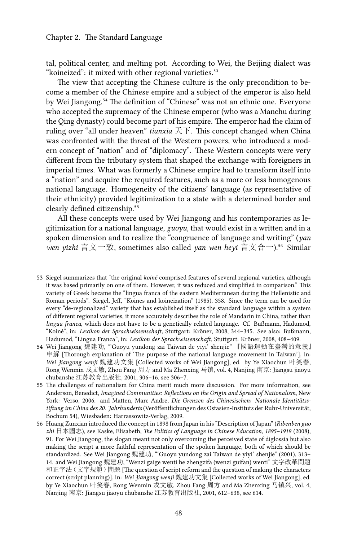tal, political center, and melting pot. According to Wei, the Beijing dialect was "koineized": it mixed with other regional varieties.<sup>53</sup>

The view that accepting the Chinese culture is the only precondition to become a member of the Chinese empire and a subject of the emperor is also held by Wei Jiangong.<sup>54</sup> The definition of "Chinese" was not an ethnic one. Everyone who accepted the supremacy of the Chinese emperor (who was a Manchu during the Qing dynasty) could become part of his empire. The emperor had the claim of ruling over "all under heaven" *tianxia* 天下. This concept changed when China was confronted with the threat of the Western powers, who introduced a modern concept of "nation" and of "diplomacy". These Western concepts were very different from the tributary system that shaped the exchange with foreigners in imperial times. What was formerly a Chinese empire had to transform itself into a "nation" and acquire the required features, such as a more or less homogenous national language. Homogeneity of the citizens' language (as representative of their ethnicity) provided legitimization to a state with a determined border and clearly defined citizenship.<sup>55</sup>

All these concepts were used by Wei Jiangong and his contemporaries as legitimization for a national language, *guoyu*, that would exist in a written and in a spoken dimension and to realize the "congruence of language and writing" (*yan wen yizhi* 言文一致, sometimes also called *yan wen heyi* 言文合一).⁵⁶ Similar

<sup>53</sup> Siegel summarizes that "the original *koiné* comprised features of several regional varieties, although it was based primarily on one of them. However, it was reduced and simplified in comparison." This variety of Greek became the "lingua franca of the eastern Mediterranean during the Hellenistic and Roman periods". Siegel, Jeff, "Koines and koineization" (1985), 358. Since the term can be used for every "de-regionalized" variety that has established itself as the standard language within a system of different regional varieties, it more accurately describes the role of Mandarin in China, rather than *lingua franca*, which does not have to be a genetically related language. Cf. Bußmann, Hadumod, "Koiné", in: *Lexikon der Sprachwissenschaft*, Stuttgart: Kröner, 2008, 344–345. See also: Bußmann, Hadumod, "Lingua Franca", in: *Lexikon der Sprachwissenschaft*, Stuttgart: Kröner, 2008, 408–409.

<sup>54</sup> Wei Jiangong 魏建功, "'Guoyu yundong zai Taiwan de yiyi' shenjie" 『國語運動在臺灣的意義』 申解 [Thorough explanation of 'The purpose of the national language movement in Taiwan'], in: *Wei Jiangong wenji* 魏建功文集 [Collected works of Wei Jiangong], ed. by Ye Xiaochun 叶笑春, Rong Wenmin 戎文敏, Zhou Fang 周方 and Ma Zhenxing 马镇, vol. 4, Nanjing 南京: Jiangsu jiaoyu chubanshe 江苏教育出版社, 2001, 306–16, see 306–7.

<sup>55</sup> The challenges of nationalism for China merit much more discussion. For more information, see Anderson, Benedict, *Imagined Communities: Reflections on the Origin and Spread of Nationalism*, New York: Verso, 2006. and Matten, Marc Andre, *Die Grenzen des Chinesischen: Nationale Identitätsstiftung im China des 20. Jahrhunderts* (Veröffentlichungen des Ostasien-Instituts der Ruhr-Universität, Bochum 54), Wiesbaden: Harrassowitz-Verlag, 2009.

<sup>56</sup> Huang Zunxian introduced the concept in 1898 from Japan in his "Description of Japan" (*Ribenben guo zhi* 日本國志), see Kaske, Elisabeth, *The Politics of Language in Chinese Education, 1895–1919* (2008), 91. For Wei Jiangong, the slogan meant not only overcoming the perceived state of diglossia but also making the script a more faithful representation of the spoken language, both of which should be standardized. See Wei Jiangong 魏建功, "'Guoyu yundong zai Taiwan de yiyi' shenjie" (2001), 313– 14. and Wei Jiangong 魏建功, "Wenzi gaige wenti he zhengzifa (wenzi guifan) wenti" 文字改革問題 和正字法(文字規範)問題 [The question of script reform and the question of making the characters correct (script planning)], in: *Wei Jiangong wenji* 魏建功文集 [Collected works of Wei Jiangong], ed. by Ye Xiaochun 叶笑春, Rong Wenmin 戎文敏, Zhou Fang 周方 and Ma Zhenxing 马镇兴, vol. 4, Nanjing 南京: Jiangsu jiaoyu chubanshe 江苏教育出版社, 2001, 612–638, see 614.